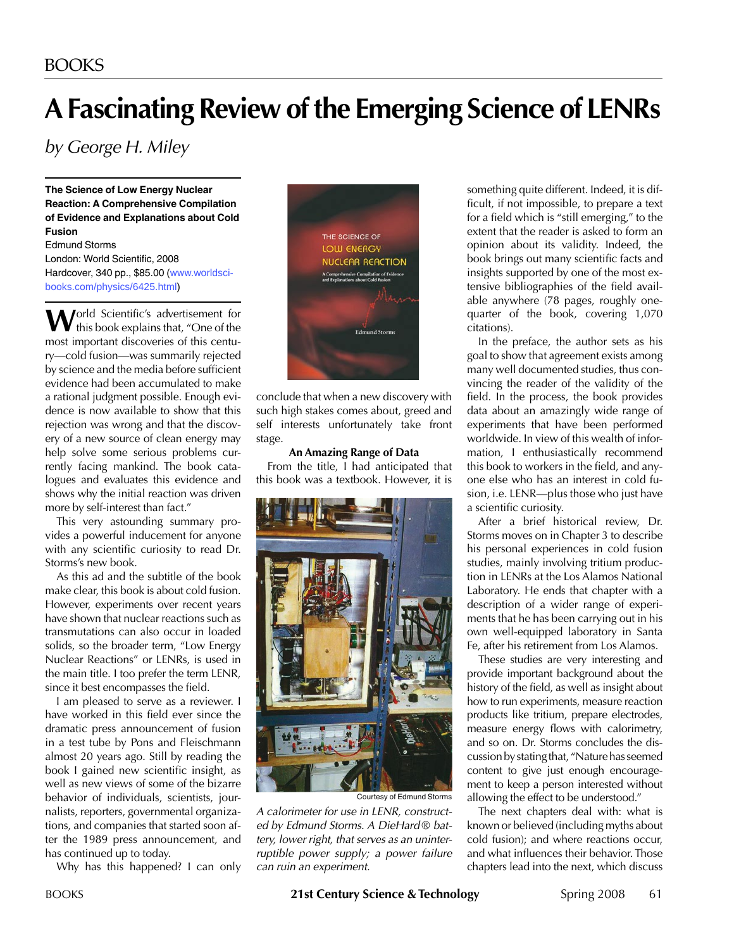# **A Fascinating Review of the Emerging Science of LENRs**

*by George H. Miley*

**The Science of Low Energy Nuclear Reaction: A Comprehensive Compilation of Evidence and Explanations about Cold Fusion**

Edmund Storms London: World Scientific, 2008 Hardcover, 340 pp., \$85.00 (www.worldscibooks.com/physics/6425.html)

**W**orld Scientific's advertisement for this book explains that, "One of the most important discoveries of this century—cold fusion—was summarily rejected by science and the media before sufficient evidence had been accumulated to make a rational judgment possible. Enough evidence is now available to show that this rejection was wrong and that the discovery of a new source of clean energy may help solve some serious problems currently facing mankind. The book catalogues and evaluates this evidence and shows why the initial reaction was driven more by self-interest than fact."

This very astounding summary provides a powerful inducement for anyone with any scientific curiosity to read Dr. Storms's new book.

As this ad and the subtitle of the book make clear, this book is about cold fusion. However, experiments over recent years have shown that nuclear reactions such as transmutations can also occur in loaded solids, so the broader term, "Low Energy Nuclear Reactions" or LENRs, is used in the main title. I too prefer the term LENR, since it best encompasses the field.

I am pleased to serve as a reviewer. I have worked in this field ever since the dramatic press announcement of fusion in a test tube by Pons and Fleischmann almost 20 years ago. Still by reading the book I gained new scientific insight, as well as new views of some of the bizarre behavior of individuals, scientists, journalists, reporters, governmental organizations, and companies that started soon after the 1989 press announcement, and has continued up to today.

Why has this happened? I can only



conclude that when a new discovery with such high stakes comes about, greed and self interests unfortunately take front stage.

#### **An Amazing Range of Data**

From the title, I had anticipated that this book was a textbook. However, it is



*A calorimeter for use in LENR, constructed by Edmund Storms. A DieHard* ® *battery, lower right, that serves as an uninterruptible power supply; a power failure can ruin an experiment.*

something quite different. Indeed, it is difficult, if not impossible, to prepare a text for a field which is "still emerging," to the extent that the reader is asked to form an opinion about its validity. Indeed, the book brings out many scientific facts and insights supported by one of the most extensive bibliographies of the field available anywhere (78 pages, roughly onequarter of the book, covering 1,070 citations).

In the preface, the author sets as his goal to show that agreement exists among many well documented studies, thus convincing the reader of the validity of the field. In the process, the book provides data about an amazingly wide range of experiments that have been performed worldwide. In view of this wealth of information, I enthusiastically recommend this book to workers in the field, and anyone else who has an interest in cold fusion, i.e. LENR—plus those who just have a scientific curiosity.

After a brief historical review, Dr. Storms moves on in Chapter 3 to describe his personal experiences in cold fusion studies, mainly involving tritium production in LENRs at the Los Alamos National Laboratory. He ends that chapter with a description of a wider range of experiments that he has been carrying out in his own well-equipped laboratory in Santa Fe, after his retirement from Los Alamos.

These studies are very interesting and provide important background about the history of the field, as well as insight about how to run experiments, measure reaction products like tritium, prepare electrodes, measure energy flows with calorimetry, and so on. Dr. Storms concludes the discussionbystatingthat, "Naturehasseemed content to give just enough encouragement to keep a person interested without allowing the effect to be understood."

The next chapters deal with: what is known or believed (including myths about cold fusion); and where reactions occur, and what influences their behavior. Those chapters lead into the next, which discuss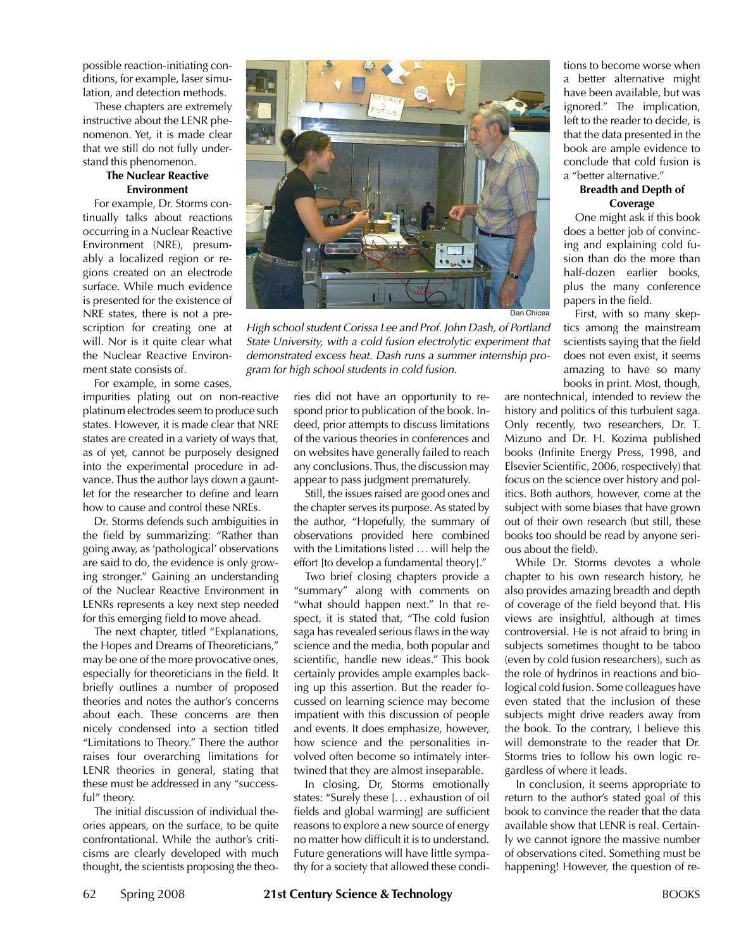possible reaction-initiating conditions, for example, laser simulation, and detection methods.

These chapters are extremely instructive about the LENR phenomenon. Yet, it is made clear that we still do not fully understand this phenomenon.

#### **The Nuclear Reactive Environment**

For example, Dr. Storms continually talks about reactions occurring in a Nuclear Reactive Environment (NRE), presumably a localized region or regions created on an electrode surface. While much evidence is presented for the existence of NRE states, there is not a prescription for creating one at will. Nor is it quite clear what the Nuclear Reactive Environment state consists of.

For example, in some cases,

impurities plating out on non-reactive platinum electrodes seem to produce such states. However, it is made clear that NRE states are created in a variety of ways that, as of yet, cannot be purposely designed into the experimental procedure in advance.Thus the author lays down a gauntlet for the researcher to define and learn how to cause and control these NREs.

Dr. Storms defends such ambiguities in the field by summarizing: "Rather than going away, as'pathological' observations are said to do, the evidence is only growing stronger." Gaining an understanding of the Nuclear Reactive Environment in LENRs represents a key next step needed for this emerging field to move ahead.

The next chapter, titled "Explanations, the Hopes and Dreams of Theoreticians," may be one of the more provocative ones, especially for theoreticians in the field. It briefly outlines a number of proposed theories and notes the author's concerns about each. These concerns are then nicely condensed into a section titled "Limitations to Theory." There the author raises four overarching limitations for LENR theories in general, stating that these must be addressed in any "successful" theory.

The initial discussion of individual theories appears, on the surface, to be quite confrontational. While the author's criticisms are clearly developed with much thought, the scientists proposing the theo-



*High school student Corissa Lee and Prof. John Dash, of Portland State University, with a cold fusion electrolytic experiment that demonstrated excess heat. Dash runs a summer internship program for high school students in cold fusion.*

ries did not have an opportunity to respond prior to publication of the book. Indeed, prior attempts to discuss limitations of the various theories in conferences and on websites have generally failed to reach any conclusions.Thus, the discussion may appear to pass judgment prematurely.

Still, the issues raised are good ones and the chapter serves its purpose. As stated by the author, "Hopefully, the summary of observations provided here combined with the Limitations listed ... will help the effort [to develop a fundamental theory]."

Two brief closing chapters provide a "summary" along with comments on "what should happen next." In that respect, it is stated that, "The cold fusion saga has revealed serious flaws in the way science and the media, both popular and scientific, handle new ideas." This book certainly provides ample examples backing up this assertion. But the reader focussed on learning science may become impatient with this discussion of people and events. It does emphasize, however, how science and the personalities involved often become so intimately intertwined that they are almost inseparable.

In closing, Dr, Storms emotionally states: "Surely these [... exhaustion of oil fields and global warming] are sufficient reasons to explore a new source of energy no matter how difficult it is to understand. Future generations will have little sympathy for a society that allowed these conditions to become worse when a better alternative might have been available, but was ignored." The implication, left to the reader to decide, is that the data presented in the book are ample evidence to conclude that cold fusion is a "better alternative."

#### **Breadth and Depth of Coverage**

One might ask if this book does a better job of convincing and explaining cold fusion than do the more than half-dozen earlier books, plus the many conference papers in the field.

First, with so many skeptics among the mainstream scientists saying that the field does not even exist, it seems amazing to have so many books in print. Most, though,

are nontechnical, intended to review the history and politics of this turbulent saga. Only recently, two researchers, Dr. T. Mizuno and Dr. H. Kozima published books (Infinite Energy Press, 1998, and Elsevier Scientific, 2006, respectively) that focus on the science over history and politics. Both authors, however, come at the subject with some biases that have grown out of their own research (but still, these books too should be read by anyone serious about the field).

While Dr. Storms devotes a whole chapter to his own research history, he also provides amazing breadth and depth of coverage of the field beyond that. His views are insightful, although at times controversial. He is not afraid to bring in subjects sometimes thought to be taboo (even by cold fusion researchers), such as the role of hydrinos in reactions and biological cold fusion. Some colleagues have even stated that the inclusion of these subjects might drive readers away from the book. To the contrary, I believe this will demonstrate to the reader that Dr. Storms tries to follow his own logic regardless of where it leads.

In conclusion, it seems appropriate to return to the author's stated goal of this book to convince the reader that the data available show that LENR is real. Certainly we cannot ignore the massive number of observations cited. Something must be happening! However, the question of re-